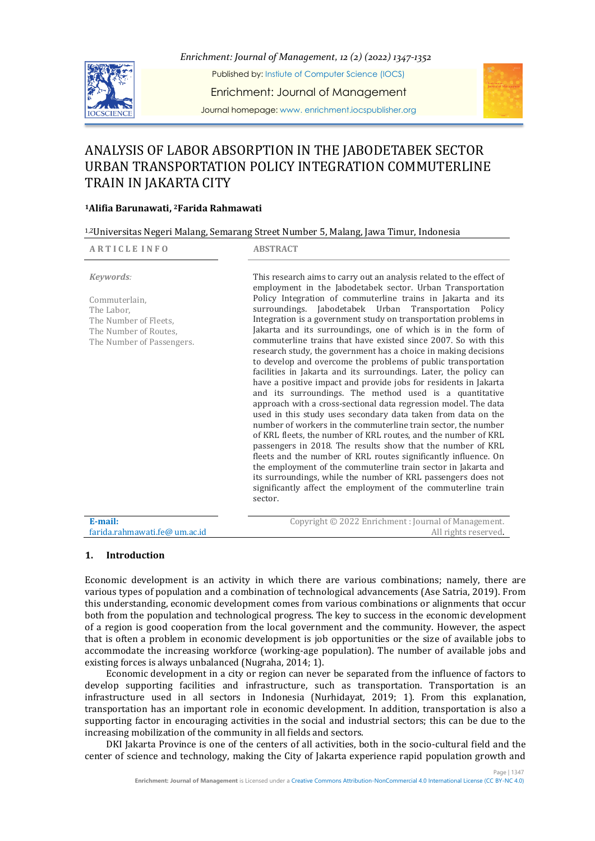

*Enrichment: Journal of Management, 12 (2) (2022) 1347-1352*

Published by: Instiute of Computer Science (IOCS)

Enrichment: Journal of Management

Journal homepage: www. enrichment.iocspublisher.org

# ANALYSIS OF LABOR ABSORPTION IN THE JABODETABEK SECTOR URBAN TRANSPORTATION POLICY INTEGRATION COMMUTERLINE TRAIN IN JAKARTA CITY

# **<sup>1</sup>Alifia Barunawati, <sup>2</sup>Farida Rahmawati**

| <sup>1,2</sup> Universitas Negeri Malang, Semarang Street Number 5, Malang, Jawa Timur, Indonesia                                  |                                                                                                                                                                                                                                                                                                                                                                                                                                                                                                                                                                                                                                                                                                                                                                                                                                                                                                                                                                                                                                                                                                                                                                                                                                                                                                                                                                                                                                                                                              |  |
|------------------------------------------------------------------------------------------------------------------------------------|----------------------------------------------------------------------------------------------------------------------------------------------------------------------------------------------------------------------------------------------------------------------------------------------------------------------------------------------------------------------------------------------------------------------------------------------------------------------------------------------------------------------------------------------------------------------------------------------------------------------------------------------------------------------------------------------------------------------------------------------------------------------------------------------------------------------------------------------------------------------------------------------------------------------------------------------------------------------------------------------------------------------------------------------------------------------------------------------------------------------------------------------------------------------------------------------------------------------------------------------------------------------------------------------------------------------------------------------------------------------------------------------------------------------------------------------------------------------------------------------|--|
| <b>ARTICLE INFO</b>                                                                                                                | <b>ABSTRACT</b>                                                                                                                                                                                                                                                                                                                                                                                                                                                                                                                                                                                                                                                                                                                                                                                                                                                                                                                                                                                                                                                                                                                                                                                                                                                                                                                                                                                                                                                                              |  |
| Keywords:<br>Commuterlain.<br>The Labor,<br>The Number of Fleets.<br>The Number of Routes.<br>The Number of Passengers.<br>E-mail: | This research aims to carry out an analysis related to the effect of<br>employment in the Jabodetabek sector. Urban Transportation<br>Policy Integration of commuterline trains in Jakarta and its<br>surroundings. Jabodetabek Urban<br>Transportation Policy<br>Integration is a government study on transportation problems in<br>Jakarta and its surroundings, one of which is in the form of<br>commuterline trains that have existed since 2007. So with this<br>research study, the government has a choice in making decisions<br>to develop and overcome the problems of public transportation<br>facilities in Jakarta and its surroundings. Later, the policy can<br>have a positive impact and provide jobs for residents in Jakarta<br>and its surroundings. The method used is a quantitative<br>approach with a cross-sectional data regression model. The data<br>used in this study uses secondary data taken from data on the<br>number of workers in the commuterline train sector, the number<br>of KRL fleets, the number of KRL routes, and the number of KRL<br>passengers in 2018. The results show that the number of KRL<br>fleets and the number of KRL routes significantly influence. On<br>the employment of the commuterline train sector in Jakarta and<br>its surroundings, while the number of KRL passengers does not<br>significantly affect the employment of the commuterline train<br>sector.<br>Copyright © 2022 Enrichment : Journal of Management. |  |
| farida.rahmawati.fe@ um.ac.id                                                                                                      | All rights reserved.                                                                                                                                                                                                                                                                                                                                                                                                                                                                                                                                                                                                                                                                                                                                                                                                                                                                                                                                                                                                                                                                                                                                                                                                                                                                                                                                                                                                                                                                         |  |
|                                                                                                                                    |                                                                                                                                                                                                                                                                                                                                                                                                                                                                                                                                                                                                                                                                                                                                                                                                                                                                                                                                                                                                                                                                                                                                                                                                                                                                                                                                                                                                                                                                                              |  |

# **1. Introduction**

Economic development is an activity in which there are various combinations; namely, there are various types of population and a combination of technological advancements (Ase Satria, 2019). From this understanding, economic development comes from various combinations or alignments that occur both from the population and technological progress. The key to success in the economic development of a region is good cooperation from the local government and the community. However, the aspect that is often a problem in economic development is job opportunities or the size of available jobs to accommodate the increasing workforce (working-age population). The number of available jobs and existing forces is always unbalanced (Nugraha, 2014; 1).

Economic development in a city or region can never be separated from the influence of factors to develop supporting facilities and infrastructure, such as transportation. Transportation is an infrastructure used in all sectors in Indonesia (Nurhidayat, 2019; 1). From this explanation, transportation has an important role in economic development. In addition, transportation is also a supporting factor in encouraging activities in the social and industrial sectors; this can be due to the increasing mobilization of the community in all fields and sectors.

DKI Jakarta Province is one of the centers of all activities, both in the socio-cultural field and the center of science and technology, making the City of Jakarta experience rapid population growth and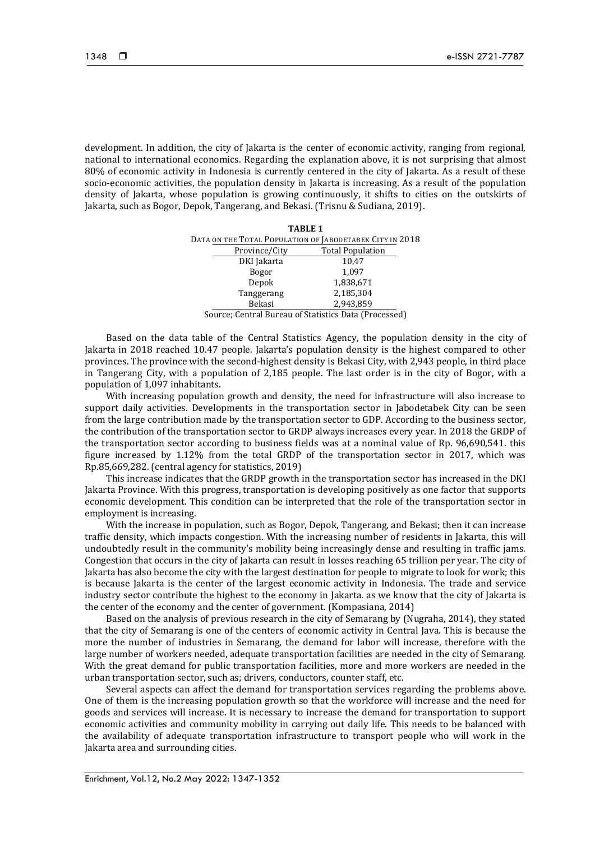development. In addition, the city of Jakarta is the center of economic activity, ranging from regional, national to international economics. Regarding the explanation above, it is not surprising that almost 80% of economic activity in Indonesia is currently centered in the city of Jakarta. As a result of these socio-economic activities, the population density in Jakarta is increasing. As a result of the population density of Jakarta, whose population is growing continuously, it shifts to cities on the outskirts of Jakarta, such as Bogor, Depok, Tangerang, and Bekasi. (Trisnu & Sudiana, 2019).

|                          |                      | <b>TABLE 1</b>                                           |                |
|--------------------------|----------------------|----------------------------------------------------------|----------------|
|                          |                      | DATA ON THE TOTAL POPULATION OF JABODETABEK CITY IN 2018 |                |
|                          | Province/City        | <b>Total Population</b>                                  |                |
|                          | DKI Jakarta          | 10,47                                                    |                |
|                          | Bogor                | 1,097                                                    |                |
|                          | Depok                | 1,838,671                                                |                |
|                          | Tanggerang           | 2,185,304                                                |                |
|                          | Bekasi               | 2,943,859                                                |                |
| $\overline{\phantom{0}}$ | $\sim$ $\sim$ $\sim$ | $\sim$ $\sim$ $\sim$ $\sim$ $\sim$                       | $\blacksquare$ |

Source; Central Bureau of Statistics Data (Processed)

Based on the data table of the Central Statistics Agency, the population density in the city of Jakarta in 2018 reached 10.47 people. Jakarta's population density is the highest compared to other provinces. The province with the second-highest density is Bekasi City, with 2,943 people, in third place in Tangerang City, with a population of 2,185 people. The last order is in the city of Bogor, with a population of 1,097 inhabitants.

With increasing population growth and density, the need for infrastructure will also increase to support daily activities. Developments in the transportation sector in Jabodetabek City can be seen from the large contribution made by the transportation sector to GDP. According to the business sector, the contribution of the transportation sector to GRDP always increases every year. In 2018 the GRDP of the transportation sector according to business fields was at a nominal value of Rp. 96,690,541. this figure increased by 1.12% from the total GRDP of the transportation sector in 2017, which was Rp.85,669,282. (central agency for statistics, 2019)

This increase indicates that the GRDP growth in the transportation sector has increased in the DKI Jakarta Province. With this progress, transportation is developing positively as one factor that supports economic development. This condition can be interpreted that the role of the transportation sector in employment is increasing.

With the increase in population, such as Bogor, Depok, Tangerang, and Bekasi; then it can increase traffic density, which impacts congestion. With the increasing number of residents in Jakarta, this will undoubtedly result in the community's mobility being increasingly dense and resulting in traffic jams. Congestion that occurs in the city of Jakarta can result in losses reaching 65 trillion per year. The city of Jakarta has also become the city with the largest destination for people to migrate to look for work; this is because Jakarta is the center of the largest economic activity in Indonesia. The trade and service industry sector contribute the highest to the economy in Jakarta. as we know that the city of Jakarta is the center of the economy and the center of government. (Kompasiana, 2014)

Based on the analysis of previous research in the city of Semarang by (Nugraha, 2014), they stated that the city of Semarang is one of the centers of economic activity in Central Java. This is because the more the number of industries in Semarang, the demand for labor will increase, therefore with the large number of workers needed, adequate transportation facilities are needed in the city of Semarang. With the great demand for public transportation facilities, more and more workers are needed in the urban transportation sector, such as; drivers, conductors, counter staff, etc.

Several aspects can affect the demand for transportation services regarding the problems above. One of them is the increasing population growth so that the workforce will increase and the need for goods and services will increase. It is necessary to increase the demand for transportation to support economic activities and community mobility in carrying out daily life. This needs to be balanced with the availability of adequate transportation infrastructure to transport people who will work in the Jakarta area and surrounding cities.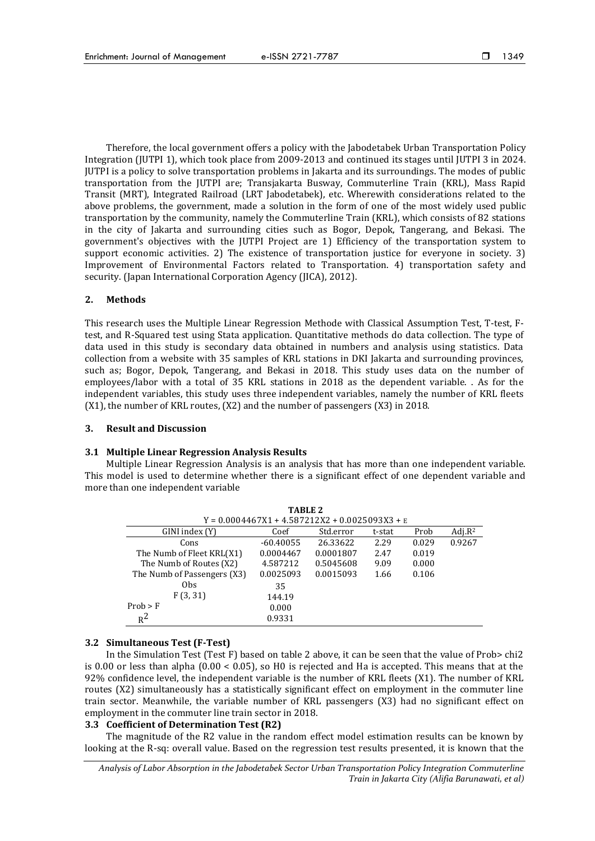Therefore, the local government offers a policy with the Jabodetabek Urban Transportation Policy Integration (JUTPI 1), which took place from 2009-2013 and continued its stages until JUTPI 3 in 2024. JUTPI is a policy to solve transportation problems in Jakarta and its surroundings. The modes of public transportation from the JUTPI are; Transjakarta Busway, Commuterline Train (KRL), Mass Rapid Transit (MRT), Integrated Railroad (LRT Jabodetabek), etc. Wherewith considerations related to the above problems, the government, made a solution in the form of one of the most widely used public transportation by the community, namely the Commuterline Train (KRL), which consists of 82 stations in the city of Jakarta and surrounding cities such as Bogor, Depok, Tangerang, and Bekasi. The government's objectives with the JUTPI Project are 1) Efficiency of the transportation system to support economic activities. 2) The existence of transportation justice for everyone in society. 3) Improvement of Environmental Factors related to Transportation. 4) transportation safety and security. (Japan International Corporation Agency (JICA), 2012).

## **2. Methods**

This research uses the Multiple Linear Regression Methode with Classical Assumption Test, T-test, Ftest, and R-Squared test using Stata application. Quantitative methods do data collection. The type of data used in this study is secondary data obtained in numbers and analysis using statistics. Data collection from a website with 35 samples of KRL stations in DKI Jakarta and surrounding provinces, such as; Bogor, Depok, Tangerang, and Bekasi in 2018. This study uses data on the number of employees/labor with a total of 35 KRL stations in 2018 as the dependent variable. . As for the independent variables, this study uses three independent variables, namely the number of KRL fleets (X1), the number of KRL routes, (X2) and the number of passengers (X3) in 2018.

#### **3. Result and Discussion**

# **3.1 Multiple Linear Regression Analysis Results**

Multiple Linear Regression Analysis is an analysis that has more than one independent variable. This model is used to determine whether there is a significant effect of one dependent variable and more than one independent variable

| TABLE 2                     |                                                  |           |        |       |            |  |
|-----------------------------|--------------------------------------------------|-----------|--------|-------|------------|--|
|                             | $Y = 0.0004467X1 + 4.587212X2 + 0.0025093X3 + E$ |           |        |       |            |  |
| GINI index (Y)              | Coef                                             | Std.error | t-stat | Prob  | Adj. $R^2$ |  |
| Cons                        | $-60.40055$                                      | 26.33622  | 2.29   | 0.029 | 0.9267     |  |
| The Numb of Fleet KRL(X1)   | 0.0004467                                        | 0.0001807 | 2.47   | 0.019 |            |  |
| The Numb of Routes (X2)     | 4.587212                                         | 0.5045608 | 9.09   | 0.000 |            |  |
| The Numb of Passengers (X3) | 0.0025093                                        | 0.0015093 | 1.66   | 0.106 |            |  |
| 0 <sub>bs</sub>             | 35                                               |           |        |       |            |  |
| F(3, 31)                    | 144.19                                           |           |        |       |            |  |
| Prob > F                    | 0.000                                            |           |        |       |            |  |
| $R^2$                       | 0.9331                                           |           |        |       |            |  |

#### **3.2 Simultaneous Test (F-Test)**

In the Simulation Test (Test F) based on table 2 above, it can be seen that the value of Prob> chi2 is 0.00 or less than alpha (0.00 < 0.05), so H0 is rejected and Ha is accepted. This means that at the 92% confidence level, the independent variable is the number of KRL fleets (X1). The number of KRL routes (X2) simultaneously has a statistically significant effect on employment in the commuter line train sector. Meanwhile, the variable number of KRL passengers (X3) had no significant effect on employment in the commuter line train sector in 2018.

# **3.3 Coefficient of Determination Test (R2)**

The magnitude of the R2 value in the random effect model estimation results can be known by looking at the R-sq: overall value. Based on the regression test results presented, it is known that the

*Analysis of Labor Absorption in the Jabodetabek Sector Urban Transportation Policy Integration Commuterline Train in Jakarta City (Alifia Barunawati, et al)*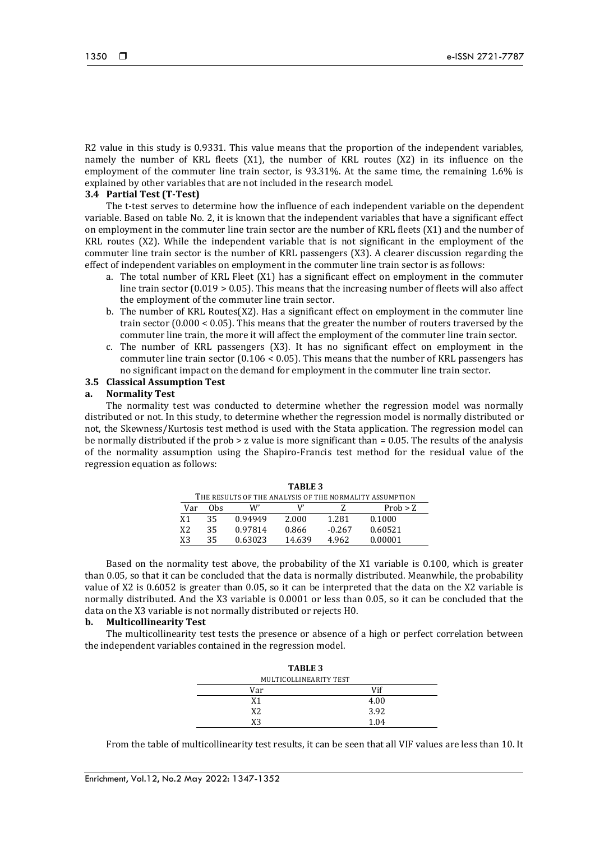R2 value in this study is 0.9331. This value means that the proportion of the independent variables, namely the number of KRL fleets (X1), the number of KRL routes (X2) in its influence on the employment of the commuter line train sector, is 93.31%. At the same time, the remaining 1.6% is explained by other variables that are not included in the research model.

# **3.4 Partial Test (T-Test)**

The t-test serves to determine how the influence of each independent variable on the dependent variable. Based on table No. 2, it is known that the independent variables that have a significant effect on employment in the commuter line train sector are the number of KRL fleets (X1) and the number of KRL routes (X2). While the independent variable that is not significant in the employment of the commuter line train sector is the number of KRL passengers (X3). A clearer discussion regarding the effect of independent variables on employment in the commuter line train sector is as follows:

- a. The total number of KRL Fleet (X1) has a significant effect on employment in the commuter line train sector  $(0.019 > 0.05)$ . This means that the increasing number of fleets will also affect the employment of the commuter line train sector.
- b. The number of KRL Routes(X2). Has a significant effect on employment in the commuter line train sector (0.000 < 0.05). This means that the greater the number of routers traversed by the commuter line train, the more it will affect the employment of the commuter line train sector.
- c. The number of KRL passengers (X3). It has no significant effect on employment in the commuter line train sector  $(0.106 < 0.05)$ . This means that the number of KRL passengers has no significant impact on the demand for employment in the commuter line train sector.

#### **3.5 Classical Assumption Test**

# **a. Normality Test**

The normality test was conducted to determine whether the regression model was normally distributed or not. In this study, to determine whether the regression model is normally distributed or not, the Skewness/Kurtosis test method is used with the Stata application. The regression model can be normally distributed if the prob  $>$  z value is more significant than  $=$  0.05. The results of the analysis of the normality assumption using the Shapiro-Francis test method for the residual value of the regression equation as follows:

| IABLE 3                                                 |     |         |        |          |          |
|---------------------------------------------------------|-----|---------|--------|----------|----------|
| THE RESULTS OF THE ANALYSIS OF THE NORMALITY ASSUMPTION |     |         |        |          |          |
| Var                                                     | Obs | W'      |        |          | Prob > Z |
| X <sub>1</sub>                                          | 35  | 0.94949 | 2.000  | 1.281    | 0.1000   |
| X <sub>2</sub>                                          | 35  | 0.97814 | 0.866  | $-0.267$ | 0.60521  |
| X3                                                      | 35  | 0.63023 | 14.639 | 4.962    | 0.00001  |

 $T_{\rm{max}}$ 

Based on the normality test above, the probability of the X1 variable is 0.100, which is greater than 0.05, so that it can be concluded that the data is normally distributed. Meanwhile, the probability value of X2 is 0.6052 is greater than 0.05, so it can be interpreted that the data on the X2 variable is normally distributed. And the X3 variable is 0.0001 or less than 0.05, so it can be concluded that the data on the X3 variable is not normally distributed or rejects H0.

#### **b. Multicollinearity Test**

The multicollinearity test tests the presence or absence of a high or perfect correlation between the independent variables contained in the regression model.

| <b>TABLE 3</b>         |      |  |  |  |
|------------------------|------|--|--|--|
| MULTICOLLINEARITY TEST |      |  |  |  |
| Var                    | Vif  |  |  |  |
| X1                     | 4.00 |  |  |  |
| X2.                    | 3.92 |  |  |  |
| XЗ                     | 1.04 |  |  |  |

From the table of multicollinearity test results, it can be seen that all VIF values are less than 10. It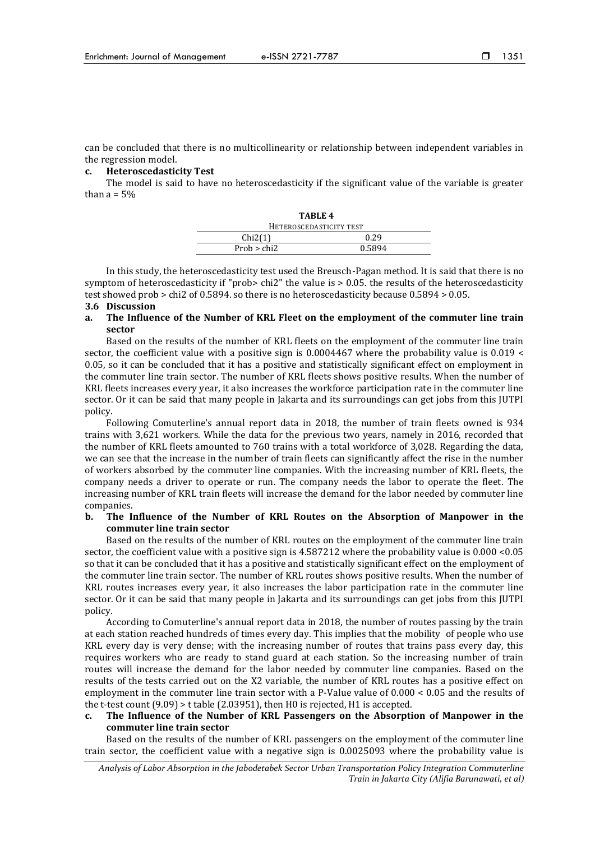1351

can be concluded that there is no multicollinearity or relationship between independent variables in the regression model.

# **c. Heteroscedasticity Test**

The model is said to have no heteroscedasticity if the significant value of the variable is greater than  $a = 5%$ 

| TABLE 4                 |  |  |  |
|-------------------------|--|--|--|
| HETEROSCEDASTICITY TEST |  |  |  |
| 0.29                    |  |  |  |
| 0.5894                  |  |  |  |
|                         |  |  |  |

In this study, the heteroscedasticity test used the Breusch-Pagan method. It is said that there is no symptom of heteroscedasticity if "prob> chi2" the value is  $> 0.05$ . the results of the heteroscedasticity test showed prob > chi2 of 0.5894. so there is no heteroscedasticity because 0.5894 > 0.05.

#### **3.6 Discussion**

**a. The Influence of the Number of KRL Fleet on the employment of the commuter line train sector**

Based on the results of the number of KRL fleets on the employment of the commuter line train sector, the coefficient value with a positive sign is 0.0004467 where the probability value is 0.019 < 0.05, so it can be concluded that it has a positive and statistically significant effect on employment in the commuter line train sector. The number of KRL fleets shows positive results. When the number of KRL fleets increases every year, it also increases the workforce participation rate in the commuter line sector. Or it can be said that many people in Jakarta and its surroundings can get jobs from this JUTPI policy.

Following Comuterline's annual report data in 2018, the number of train fleets owned is 934 trains with 3,621 workers. While the data for the previous two years, namely in 2016, recorded that the number of KRL fleets amounted to 760 trains with a total workforce of 3,028. Regarding the data, we can see that the increase in the number of train fleets can significantly affect the rise in the number of workers absorbed by the commuter line companies. With the increasing number of KRL fleets, the company needs a driver to operate or run. The company needs the labor to operate the fleet. The increasing number of KRL train fleets will increase the demand for the labor needed by commuter line companies.

#### **b. The Influence of the Number of KRL Routes on the Absorption of Manpower in the commuter line train sector**

Based on the results of the number of KRL routes on the employment of the commuter line train sector, the coefficient value with a positive sign is 4.587212 where the probability value is 0.000 <0.05 so that it can be concluded that it has a positive and statistically significant effect on the employment of the commuter line train sector. The number of KRL routes shows positive results. When the number of KRL routes increases every year, it also increases the labor participation rate in the commuter line sector. Or it can be said that many people in Jakarta and its surroundings can get jobs from this JUTPI policy.

According to Comuterline's annual report data in 2018, the number of routes passing by the train at each station reached hundreds of times every day. This implies that the mobility of people who use KRL every day is very dense; with the increasing number of routes that trains pass every day, this requires workers who are ready to stand guard at each station. So the increasing number of train routes will increase the demand for the labor needed by commuter line companies. Based on the results of the tests carried out on the X2 variable, the number of KRL routes has a positive effect on employment in the commuter line train sector with a P-Value value of 0.000 < 0.05 and the results of the t-test count (9.09) > t table (2.03951), then H0 is rejected, H1 is accepted.

# **c. The Influence of the Number of KRL Passengers on the Absorption of Manpower in the commuter line train sector**

Based on the results of the number of KRL passengers on the employment of the commuter line train sector, the coefficient value with a negative sign is 0.0025093 where the probability value is

*Analysis of Labor Absorption in the Jabodetabek Sector Urban Transportation Policy Integration Commuterline Train in Jakarta City (Alifia Barunawati, et al)*